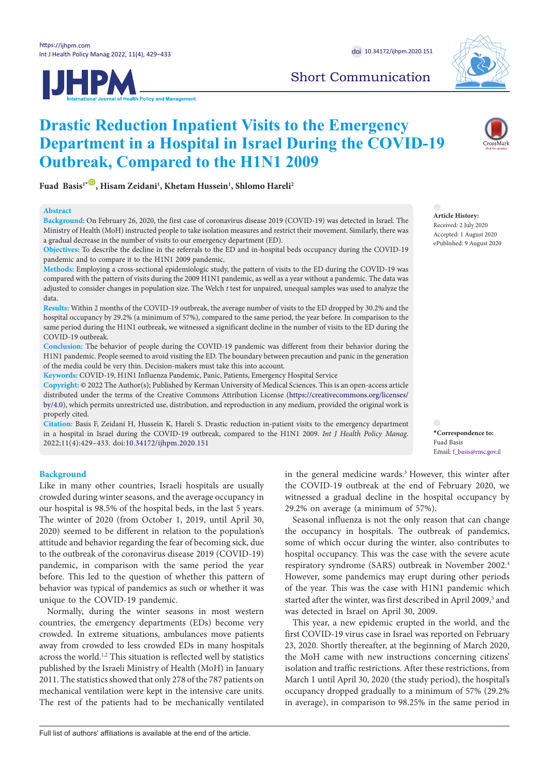



# Short Communication

# **Drastic Reduction Inpatient Visits to the Emergency Department in a Hospital in Israel During the COVID-19 Outbreak, Compared to the H1N1 2009**

 $\text{Fuad Basis}^{1*}\textcolor{red}{\bullet}$  $\text{Fuad Basis}^{1*}\textcolor{red}{\bullet}$  $\text{Fuad Basis}^{1*}\textcolor{red}{\bullet}$ , Hisam Zeidani<sup>1</sup>, Khetam Hussein<sup>1</sup>, Shlomo Hareli<sup>2</sup>

# **Abstract**

**Background:** On February 26, 2020, the first case of coronavirus disease 2019 (COVID-19) was detected in Israel. The Ministry of Health (MoH) instructed people to take isolation measures and restrict their movement. Similarly, there was a gradual decrease in the number of visits to our emergency department (ED).

**Objectives:** To describe the decline in the referrals to the ED and in-hospital beds occupancy during the COVID-19 pandemic and to compare it to the H1N1 2009 pandemic.

**Methods:** Employing a cross-sectional epidemiologic study, the pattern of visits to the ED during the COVID-19 was compared with the pattern of visits during the 2009 H1N1 pandemic, as well as a year without a pandemic. The data was adjusted to consider changes in population size. The Welch *t* test for unpaired, unequal samples was used to analyze the data.

**Results:** Within 2 months of the COVID-19 outbreak, the average number of visits to the ED dropped by 30.2% and the hospital occupancy by 29.2% (a minimum of 57%), compared to the same period, the year before. In comparison to the same period during the H1N1 outbreak, we witnessed a significant decline in the number of visits to the ED during the COVID-19 outbreak.

**Conclusion:** The behavior of people during the COVID-19 pandemic was different from their behavior during the H1N1 pandemic. People seemed to avoid visiting the ED. The boundary between precaution and panic in the generation of the media could be very thin. Decision-makers must take this into account.

**Keywords:** COVID-19, H1N1 Influenza Pandemic, Panic, Patients, Emergency Hospital Service

**Copyright:** © 2022 The Author(s); Published by Kerman University of Medical Sciences. This is an open-access article distributed under the terms of the Creative Commons Attribution License ([https://creativecommons.org/licenses/](https://creativecommons.org/licenses/by/4.0) [by/4.0](https://creativecommons.org/licenses/by/4.0)), which permits unrestricted use, distribution, and reproduction in any medium, provided the original work is properly cited.

**Citation:** Basis F, Zeidani H, Hussein K, Hareli S. Drastic reduction in-patient visits to the emergency department in a hospital in Israel during the COVID-19 outbreak, compared to the H1N1 2009. *Int J Health Policy Manag.*  2022;11(4):429–433. doi[:10.34172/ijhpm.2020.151](https://doi.org/10.34172/ijhpm.2020.151)

# **Background**

Like in many other countries, Israeli hospitals are usually crowded during winter seasons, and the average occupancy in our hospital is 98.5% of the hospital beds, in the last 5 years. The winter of 2020 (from October 1, 2019, until April 30, 2020) seemed to be different in relation to the population's attitude and behavior regarding the fear of becoming sick, due to the outbreak of the coronavirus disease 2019 (COVID-19) pandemic, in comparison with the same period the year before. This led to the question of whether this pattern of behavior was typical of pandemics as such or whether it was unique to the COVID-19 pandemic.

Normally, during the winter seasons in most western countries, the emergency departments (EDs) become very crowded. In extreme situations, ambulances move patients away from crowded to less crowded EDs in many hospitals across the world.<sup>1,2</sup> This situation is reflected well by statistics published by the Israeli Ministry of Health (MoH) in January 2011. The statistics showed that only 278 of the 787 patients on mechanical ventilation were kept in the intensive care units. The rest of the patients had to be mechanically ventilated in the general medicine wards.<sup>3</sup> However, this winter after the COVID-19 outbreak at the end of February 2020, we witnessed a gradual decline in the hospital occupancy by 29.2% on average (a minimum of 57%).

Seasonal influenza is not the only reason that can change the occupancy in hospitals. The outbreak of pandemics, some of which occur during the winter, also contributes to hospital occupancy. This was the case with the severe acute respiratory syndrome (SARS) outbreak in November 2002.4 However, some pandemics may erupt during other periods of the year. This was the case with H1N1 pandemic which started after the winter, was first described in April 2009,<sup>5</sup> and was detected in Israel on April 30, 2009.

This year, a new epidemic erupted in the world, and the first COVID-19 virus case in Israel was reported on February 23, 2020. Shortly thereafter, at the beginning of March 2020, the MoH came with new instructions concerning citizens' isolation and traffic restrictions. After these restrictions, from March 1 until April 30, 2020 (the study period), the hospital's occupancy dropped gradually to a minimum of 57% (29.2% in average), in comparison to 98.25% in the same period in



**Article History:** Received: 2 July 2020 Accepted: 1 August 2020 ePublished: 9 August 2020

<span id="page-0-0"></span>**\*Correspondence to:** Fuad Basis Email: f\_basis@rmc.gov.il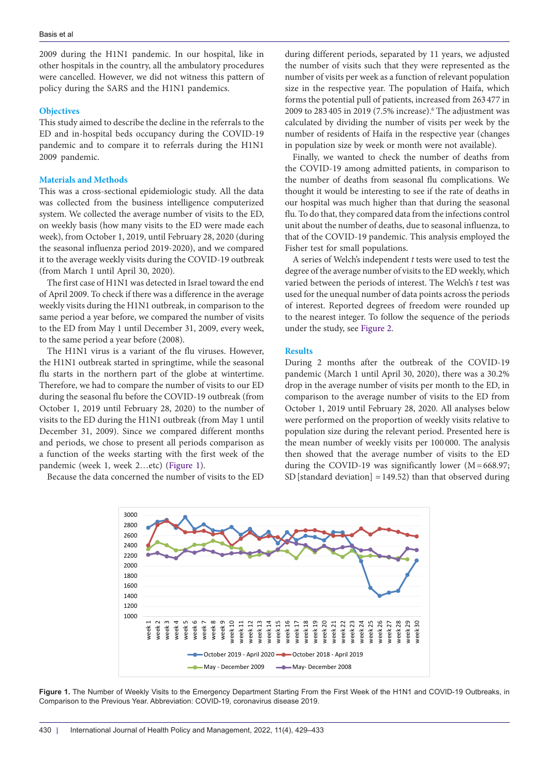2009 during the H1N1 pandemic. In our hospital, like in other hospitals in the country, all the ambulatory procedures were cancelled. However, we did not witness this pattern of policy during the SARS and the H1N1 pandemics.

## **Objectives**

This study aimed to describe the decline in the referrals to the ED and in-hospital beds occupancy during the COVID-19 pandemic and to compare it to referrals during the H1N1 2009 pandemic.

# **Materials and Methods**

This was a cross-sectional epidemiologic study. All the data was collected from the business intelligence computerized system. We collected the average number of visits to the ED, on weekly basis (how many visits to the ED were made each week), from October 1, 2019, until February 28, 2020 (during the seasonal influenza period 2019-2020), and we compared it to the average weekly visits during the COVID-19 outbreak (from March 1 until April 30, 2020).

The first case of H1N1 was detected in Israel toward the end of April 2009. To check if there was a difference in the average weekly visits during the H1N1 outbreak, in comparison to the same period a year before, we compared the number of visits to the ED from May 1 until December 31, 2009, every week, to the same period a year before (2008).

The H1N1 virus is a variant of the flu viruses. However, the H1N1 outbreak started in springtime, while the seasonal flu starts in the northern part of the globe at wintertime. Therefore, we had to compare the number of visits to our ED during the seasonal flu before the COVID-19 outbreak (from October 1, 2019 until February 28, 2020) to the number of visits to the ED during the H1N1 outbreak (from May 1 until December 31, 2009). Since we compared different months and periods, we chose to present all periods comparison as a function of the weeks starting with the first week of the pandemic (week 1, week 2…etc) [\(Figure 1](#page-1-0)).

Because the data concerned the number of visits to the ED

during different periods, separated by 11 years, we adjusted the number of visits such that they were represented as the number of visits per week as a function of relevant population size in the respective year. The population of Haifa, which forms the potential pull of patients, increased from 263 477 in 2009 to 283 405 in 2019 (7.5% increase).<sup>6</sup> The adjustment was calculated by dividing the number of visits per week by the number of residents of Haifa in the respective year (changes in population size by week or month were not available).

Finally, we wanted to check the number of deaths from the COVID-19 among admitted patients, in comparison to the number of deaths from seasonal flu complications. We thought it would be interesting to see if the rate of deaths in our hospital was much higher than that during the seasonal flu. To do that, they compared data from the infections control unit about the number of deaths, due to seasonal influenza, to that of the COVID-19 pandemic. This analysis employed the Fisher test for small populations.

A series of Welch's independent *t* tests were used to test the degree of the average number of visits to the ED weekly, which varied between the periods of interest. The Welch's *t* test was used for the unequal number of data points across the periods of interest. Reported degrees of freedom were rounded up to the nearest integer. To follow the sequence of the periods under the study, see [Figure 2](#page-2-0).

### **Results**

During 2 months after the outbreak of the COVID-19 pandemic (March 1 until April 30, 2020), there was a 30.2% drop in the average number of visits per month to the ED, in comparison to the average number of visits to the ED from October 1, 2019 until February 28, 2020. All analyses below were performed on the proportion of weekly visits relative to population size during the relevant period. Presented here is the mean number of weekly visits per 100 000. The analysis then showed that the average number of visits to the ED during the COVID-19 was significantly lower  $(M=668.97;$ SD [standard deviation] = 149.52) than that observed during

<span id="page-1-0"></span>

**Figure 1.** The Number of Weekly Visits to the Emergency Department Starting From the First Week of the H1N1 and COVID-19 Outbreaks, in Comparison to the Previous Year. Abbreviation: COVID-19, coronavirus disease 2019.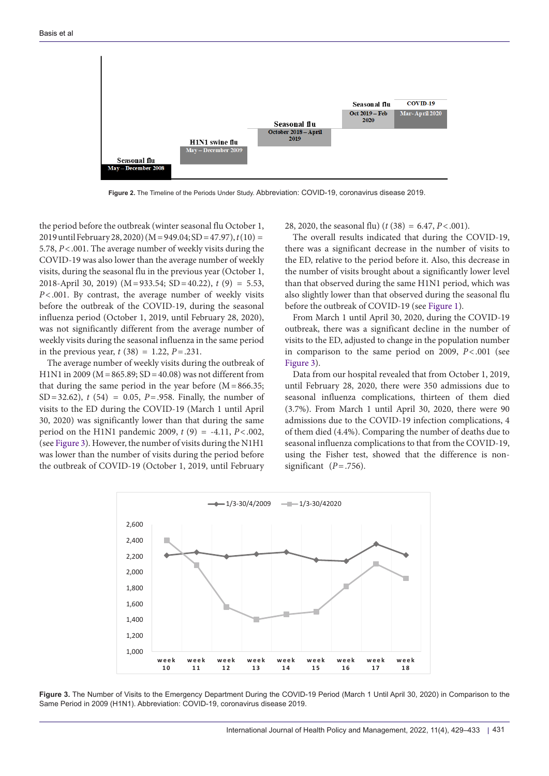<span id="page-2-0"></span>

**Figure 2.** The Timeline of the Periods Under Study. Abbreviation: COVID-19, coronavirus disease 2019.

the period before the outbreak (winter seasonal flu October 1, 2019 until February 28, 2020) (M=949.04; SD=47.97), *t* (10) = 5.78, *P*<.001. The average number of weekly visits during the COVID-19 was also lower than the average number of weekly visits, during the seasonal flu in the previous year (October 1, 2018-April 30, 2019) (M=933.54; SD=40.22), *t* (9) = 5.53, *P*<.001. By contrast, the average number of weekly visits before the outbreak of the COVID-19, during the seasonal influenza period (October 1, 2019, until February 28, 2020), was not significantly different from the average number of weekly visits during the seasonal influenza in the same period in the previous year,  $t(38) = 1.22$ ,  $P = .231$ .

The average number of weekly visits during the outbreak of H1N1 in 2009 (M=865.89; SD=40.08) was not different from that during the same period in the year before  $(M=866.35;$ SD=32.62), *t* (54) = 0.05, *P*=.958. Finally, the number of visits to the ED during the COVID-19 (March 1 until April 30, 2020) was significantly lower than that during the same period on the H1N1 pandemic 2009, *t* (9) = -4.11, *P*<.002, (see [Figure 3](#page-2-1)). However, the number of visits during the N1H1 was lower than the number of visits during the period before the outbreak of COVID-19 (October 1, 2019, until February

28, 2020, the seasonal flu) (*t* (38) = 6.47, *P*<.001).

The overall results indicated that during the COVID-19, there was a significant decrease in the number of visits to the ED, relative to the period before it. Also, this decrease in the number of visits brought about a significantly lower level than that observed during the same H1N1 period, which was also slightly lower than that observed during the seasonal flu before the outbreak of COVID-19 (see [Figure 1](#page-1-0)).

From March 1 until April 30, 2020, during the COVID-19 outbreak, there was a significant decline in the number of visits to the ED, adjusted to change in the population number in comparison to the same period on 2009, *P*<.001 (see [Figure 3\)](#page-2-1).

<span id="page-2-1"></span>Data from our hospital revealed that from October 1, 2019, until February 28, 2020, there were 350 admissions due to seasonal influenza complications, thirteen of them died (3.7%). From March 1 until April 30, 2020, there were 90 admissions due to the COVID-19 infection complications, 4 of them died (4.4%). Comparing the number of deaths due to seasonal influenza complications to that from the COVID-19, using the Fisher test, showed that the difference is nonsignificant  $(P=.756)$ .



**Figure 3.** The Number of Visits to the Emergency Department During the COVID-19 Period (March 1 Until April 30, 2020) in Comparison to the Same Period in 2009 (H1N1). Abbreviation: COVID-19, coronavirus disease 2019.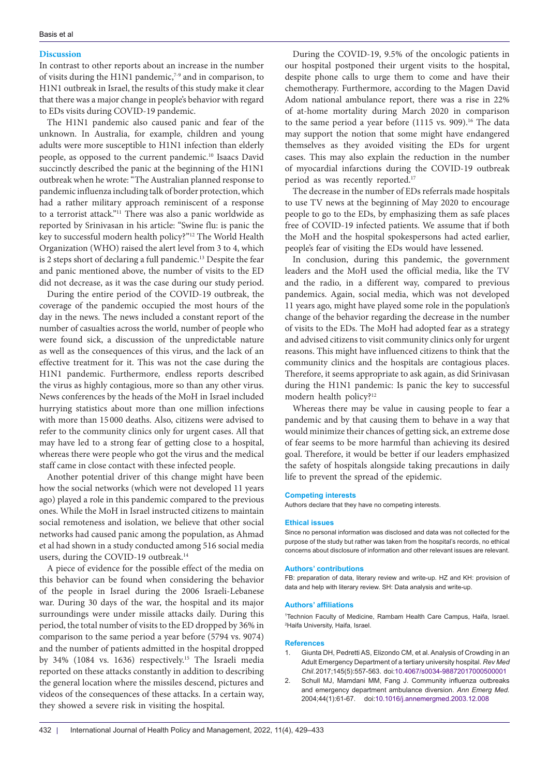### **Discussion**

In contrast to other reports about an increase in the number of visits during the H1N1 pandemic, $7-9$  and in comparison, to H1N1 outbreak in Israel, the results of this study make it clear that there was a major change in people's behavior with regard to EDs visits during COVID-19 pandemic.

The H1N1 pandemic also caused panic and fear of the unknown. In Australia, for example, children and young adults were more susceptible to H1N1 infection than elderly people, as opposed to the current pandemic.10 Isaacs David succinctly described the panic at the beginning of the H1N1 outbreak when he wrote: "The Australian planned response to pandemic influenza including talk of border protection, which had a rather military approach reminiscent of a response to a terrorist attack."11 There was also a panic worldwide as reported by Srinivasan in his article: "Swine flu: is panic the key to successful modern health policy?"12 The World Health Organization (WHO) raised the alert level from 3 to 4, which is 2 steps short of declaring a full pandemic.<sup>13</sup> Despite the fear and panic mentioned above, the number of visits to the ED did not decrease, as it was the case during our study period.

During the entire period of the COVID-19 outbreak, the coverage of the pandemic occupied the most hours of the day in the news. The news included a constant report of the number of casualties across the world, number of people who were found sick, a discussion of the unpredictable nature as well as the consequences of this virus, and the lack of an effective treatment for it. This was not the case during the H1N1 pandemic. Furthermore, endless reports described the virus as highly contagious, more so than any other virus. News conferences by the heads of the MoH in Israel included hurrying statistics about more than one million infections with more than 15 000 deaths. Also, citizens were advised to refer to the community clinics only for urgent cases. All that may have led to a strong fear of getting close to a hospital, whereas there were people who got the virus and the medical staff came in close contact with these infected people.

Another potential driver of this change might have been how the social networks (which were not developed 11 years ago) played a role in this pandemic compared to the previous ones. While the MoH in Israel instructed citizens to maintain social remoteness and isolation, we believe that other social networks had caused panic among the population, as Ahmad et al had shown in a study conducted among 516 social media users, during the COVID-19 outbreak.<sup>14</sup>

A piece of evidence for the possible effect of the media on this behavior can be found when considering the behavior of the people in Israel during the 2006 Israeli-Lebanese war. During 30 days of the war, the hospital and its major surroundings were under missile attacks daily. During this period, the total number of visits to the ED dropped by 36% in comparison to the same period a year before (5794 vs. 9074) and the number of patients admitted in the hospital dropped by 34% (1084 vs. 1636) respectively.15 The Israeli media reported on these attacks constantly in addition to describing the general location where the missiles descend, pictures and videos of the consequences of these attacks. In a certain way, they showed a severe risk in visiting the hospital.

During the COVID-19, 9.5% of the oncologic patients in our hospital postponed their urgent visits to the hospital, despite phone calls to urge them to come and have their chemotherapy. Furthermore, according to the Magen David Adom national ambulance report, there was a rise in 22% of at-home mortality during March 2020 in comparison to the same period a year before (1115 vs. 909).<sup>16</sup> The data may support the notion that some might have endangered themselves as they avoided visiting the EDs for urgent cases. This may also explain the reduction in the number of myocardial infarctions during the COVID-19 outbreak period as was recently reported.<sup>17</sup>

The decrease in the number of EDs referrals made hospitals to use TV news at the beginning of May 2020 to encourage people to go to the EDs, by emphasizing them as safe places free of COVID-19 infected patients. We assume that if both the MoH and the hospital spokespersons had acted earlier, people's fear of visiting the EDs would have lessened.

In conclusion, during this pandemic, the government leaders and the MoH used the official media, like the TV and the radio, in a different way, compared to previous pandemics. Again, social media, which was not developed 11 years ago, might have played some role in the population's change of the behavior regarding the decrease in the number of visits to the EDs. The MoH had adopted fear as a strategy and advised citizens to visit community clinics only for urgent reasons. This might have influenced citizens to think that the community clinics and the hospitals are contagious places. Therefore, it seems appropriate to ask again, as did Srinivasan during the H1N1 pandemic: Is panic the key to successful modern health policy?12

Whereas there may be value in causing people to fear a pandemic and by that causing them to behave in a way that would minimize their chances of getting sick, an extreme dose of fear seems to be more harmful than achieving its desired goal. Therefore, it would be better if our leaders emphasized the safety of hospitals alongside taking precautions in daily life to prevent the spread of the epidemic.

#### **Competing interests**

Authors declare that they have no competing interests.

#### **Ethical issues**

Since no personal information was disclosed and data was not collected for the purpose of the study but rather was taken from the hospital's records, no ethical concerns about disclosure of information and other relevant issues are relevant.

#### **Authors' contributions**

FB: preparation of data, literary review and write-up. HZ and KH: provision of data and help with literary review. SH: Data analysis and write-up.

#### **Authors' affiliations**

1 Technion Faculty of Medicine, Rambam Health Care Campus, Haifa, Israel. 2 Haifa University, Haifa, Israel.

#### **References**

- 1. Giunta DH, Pedretti AS, Elizondo CM, et al. Analysis of Crowding in an Adult Emergency Department of a tertiary university hospital. *Rev Med Chil*. 2017;145(5):557-563. doi[:10.4067/s0034-98872017000500001](https://doi.org/10.4067/s0034-98872017000500001)
- 2. Schull MJ, Mamdani MM, Fang J. Community influenza outbreaks and emergency department ambulance diversion. *Ann Emerg Med.* 2004;44(1):61-67. doi[:10.1016/j.annemergmed.2003.12.008](https://doi.org/10.1016/j.annemergmed.2003.12.008)